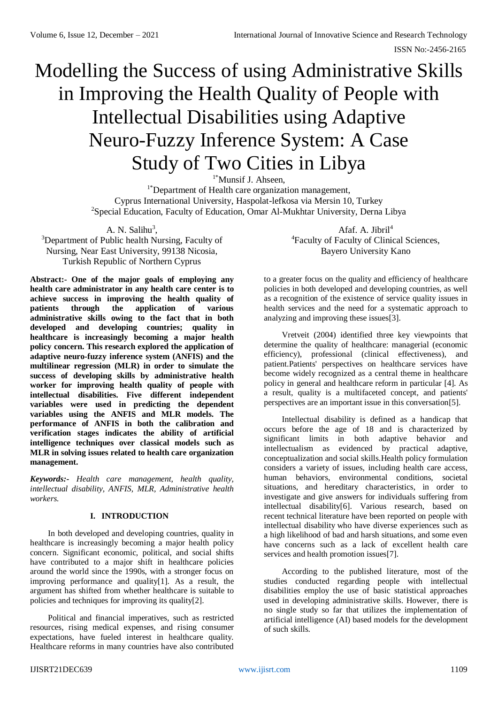# Modelling the Success of using Administrative Skills in Improving the Health Quality of People with Intellectual Disabilities using Adaptive Neuro-Fuzzy Inference System: A Case Study of Two Cities in Libya

<sup>1\*</sup>Munsif J. Ahseen.

<sup>1\*</sup>Department of Health care organization management, Cyprus International University, Haspolat-lefkosa via Mersin 10, Turkey <sup>2</sup>Special Education, Faculty of Education, Omar Al-Mukhtar University, Derna Libya

A. N. Salihu<sup>3</sup>, <sup>3</sup>Department of Public health Nursing, Faculty of Nursing, Near East University, 99138 Nicosia, Turkish Republic of Northern Cyprus

**Abstract:- One of the major goals of employing any health care administrator in any health care center is to achieve success in improving the health quality of patients through the application of various administrative skills owing to the fact that in both developed and developing countries; quality in healthcare is increasingly becoming a major health policy concern. This research explored the application of adaptive neuro-fuzzy inference system (ANFIS) and the multilinear regression (MLR) in order to simulate the success of developing skills by administrative health worker for improving health quality of people with intellectual disabilities. Five different independent variables were used in predicting the dependent variables using the ANFIS and MLR models. The performance of ANFIS in both the calibration and verification stages indicates the ability of artificial intelligence techniques over classical models such as MLR in solving issues related to health care organization management.** 

*Keywords:- Health care management, health quality, intellectual disability, ANFIS, MLR, Administrative health workers.*

# **I. INTRODUCTION**

In both developed and developing countries, quality in healthcare is increasingly becoming a major health policy concern. Significant economic, political, and social shifts have contributed to a major shift in healthcare policies around the world since the 1990s, with a stronger focus on improving performance and quality[1]. As a result, the argument has shifted from whether healthcare is suitable to policies and techniques for improving its quality[2].

Political and financial imperatives, such as restricted resources, rising medical expenses, and rising consumer expectations, have fueled interest in healthcare quality. Healthcare reforms in many countries have also contributed

Afaf. A. Jibril<sup>4</sup> <sup>4</sup>Faculty of Faculty of Clinical Sciences, Bayero University Kano

to a greater focus on the quality and efficiency of healthcare policies in both developed and developing countries, as well as a recognition of the existence of service quality issues in health services and the need for a systematic approach to analyzing and improving these issues[3].

Vretveit (2004) identified three key viewpoints that determine the quality of healthcare: managerial (economic efficiency), professional (clinical effectiveness), and patient.Patients' perspectives on healthcare services have become widely recognized as a central theme in healthcare policy in general and healthcare reform in particular [4]. As a result, quality is a multifaceted concept, and patients' perspectives are an important issue in this conversation[5].

Intellectual disability is defined as a handicap that occurs before the age of 18 and is characterized by significant limits in both adaptive behavior and intellectualism as evidenced by practical adaptive, conceptualization and social skills.Health policy formulation considers a variety of issues, including health care access, human behaviors, environmental conditions, societal situations, and hereditary characteristics, in order to investigate and give answers for individuals suffering from intellectual disability[6]. Various research, based on recent technical literature have been reported on people with intellectual disability who have diverse experiences such as a high likelihood of bad and harsh situations, and some even have concerns such as a lack of excellent health care services and health promotion issues[7].

According to the published literature, most of the studies conducted regarding people with intellectual disabilities employ the use of basic statistical approaches used in developing administrative skills. However, there is no single study so far that utilizes the implementation of artificial intelligence (AI) based models for the development of such skills.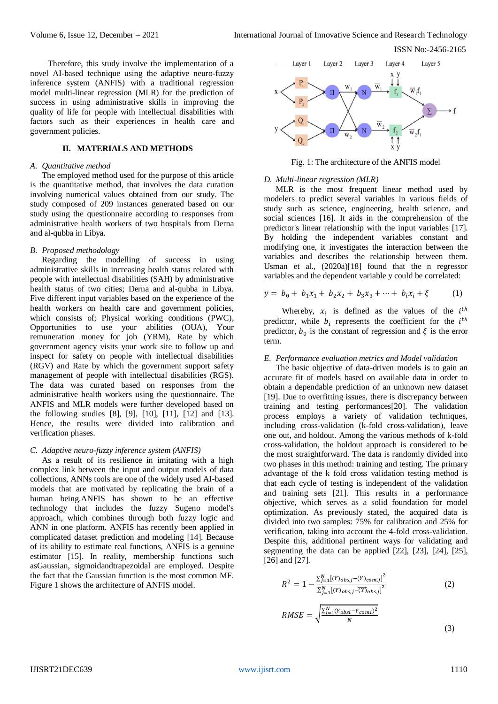Therefore, this study involve the implementation of a novel AI-based technique using the adaptive neuro-fuzzy inference system (ANFIS) with a traditional regression model multi-linear regression (MLR) for the prediction of success in using administrative skills in improving the quality of life for people with intellectual disabilities with factors such as their experiences in health care and government policies.

## **II. MATERIALS AND METHODS**

#### *A. Quantitative method*

The employed method used for the purpose of this article is the quantitative method, that involves the data curation involving numerical values obtained from our study. The study composed of 209 instances generated based on our study using the questionnaire according to responses from administrative health workers of two hospitals from Derna and al-qubba in Libya.

#### *B. Proposed methodology*

Regarding the modelling of success in using administrative skills in increasing health status related with people with intellectual disabilities (SAH) by administrative health status of two cities: Derna and al-qubba in Libya. Five different input variables based on the experience of the health workers on health care and government policies, which consists of; Physical working conditions (PWC), Opportunities to use your abilities (OUA), Your remuneration money for job (YRM), Rate by which government agency visits your work site to follow up and inspect for safety on people with intellectual disabilities (RGV) and Rate by which the government support safety management of people with intellectual disabilities (RGS). The data was curated based on responses from the administrative health workers using the questionnaire. The ANFIS and MLR models were further developed based on the following studies [8], [9], [10], [11], [12] and [13]. Hence, the results were divided into calibration and verification phases.

#### *C. Adaptive neuro-fuzzy inference system (ANFIS)*

As a result of its resilience in imitating with a high complex link between the input and output models of data collections, ANNs tools are one of the widely used AI-based models that are motivated by replicating the brain of a human being.ANFIS has shown to be an effective technology that includes the fuzzy Sugeno model's approach, which combines through both fuzzy logic and ANN in one platform. ANFIS has recently been applied in complicated dataset prediction and modeling [14]. Because of its ability to estimate real functions, ANFIS is a genuine estimator [15]. In reality, membership functions such asGaussian, sigmoidandtrapezoidal are employed. Despite the fact that the Gaussian function is the most common MF. Figure 1 shows the architecture of ANFIS model.



Fig. 1: The architecture of the ANFIS model

#### *D. Multi-linear regression (MLR)*

MLR is the most frequent linear method used by modelers to predict several variables in various fields of study such as science, engineering, health science, and social sciences [16]. It aids in the comprehension of the predictor's linear relationship with the input variables [17]. By holding the independent variables constant and modifying one, it investigates the interaction between the variables and describes the relationship between them. Usman et al., (2020a)[18] found that the n regressor variables and the dependent variable y could be correlated:

$$
y = b_0 + b_1 x_1 + b_2 x_2 + b_3 x_3 + \dots + b_i x_i + \xi \tag{1}
$$

Whereby,  $x_i$  is defined as the values of the  $i^{th}$ predictor, while  $b_i$  represents the coefficient for the  $i^{th}$ predictor,  $b_0$  is the constant of regression and  $\xi$  is the error term.

#### *E. Performance evaluation metrics and Model validation*

The basic objective of data-driven models is to gain an accurate fit of models based on available data in order to obtain a dependable prediction of an unknown new dataset [19]. Due to overfitting issues, there is discrepancy between training and testing performances[20]. The validation process employs a variety of validation techniques, including cross-validation (k-fold cross-validation), leave one out, and holdout. Among the various methods of k-fold cross-validation, the holdout approach is considered to be the most straightforward. The data is randomly divided into two phases in this method: training and testing. The primary advantage of the k fold cross validation testing method is that each cycle of testing is independent of the validation and training sets [21]. This results in a performance objective, which serves as a solid foundation for model optimization. As previously stated, the acquired data is divided into two samples: 75% for calibration and 25% for verification, taking into account the 4-fold cross-validation. Despite this, additional pertinent ways for validating and segmenting the data can be applied [22], [23], [24], [25], [26] and [27].

$$
R^{2} = 1 - \frac{\sum_{j=1}^{N} [(Y)_{obs,j} - (Y)_{com,j}]^{2}}{\sum_{j=1}^{N} [(Y)_{obs,j} - (\overline{Y})_{obs,j}]^{2}}
$$
(2)

$$
RMSE = \sqrt{\frac{\sum_{i=1}^{N} (Y_{obsi} - Y_{comi})^2}{N}}
$$
\n(3)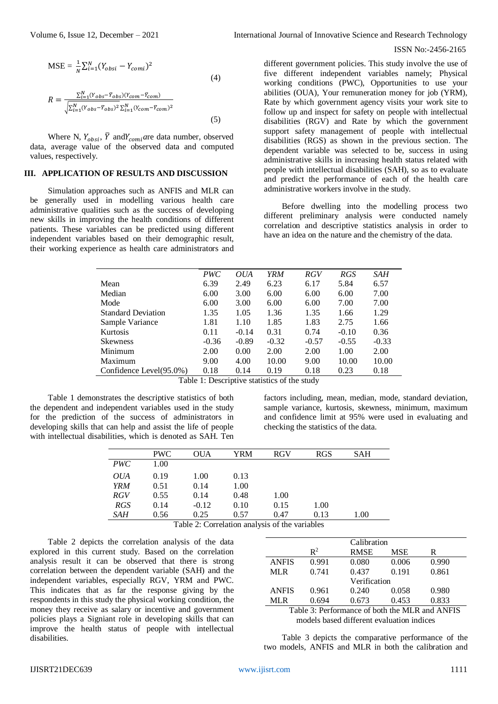$MSE = \frac{1}{N} \sum_{i=1}^{N} (Y_{obsi} - Y_{comi})^2$ (4)  $R = \frac{\sum_{i=1}^{N}(Y_{obs}-\overline{Y}_{obs})(Y_{com}-\overline{Y}_{com})}{\sqrt{Y_{com}-Y_{com}}}$  $\sqrt{\sum_{i=1}^{N}(Y_{obs}-\bar{Y}_{obs})^2\sum_{i=1}^{N}(Y_{com}-\bar{Y}_{com})^2}$ 

$$
(5)
$$

Where N,  $Y_{obsi}$ ,  $\bar{Y}$  and $Y_{comi}$  are data number, observed data, average value of the observed data and computed values, respectively.

## **III. APPLICATION OF RESULTS AND DISCUSSION**

Simulation approaches such as ANFIS and MLR can be generally used in modelling various health care administrative qualities such as the success of developing new skills in improving the health conditions of different patients. These variables can be predicted using different independent variables based on their demographic result, their working experience as health care administrators and

Volume 6, Issue 12, December – 2021 International Journal of Innovative Science and Research Technology

#### ISSN No:-2456-2165

different government policies. This study involve the use of five different independent variables namely; Physical working conditions (PWC), Opportunities to use your abilities (OUA), Your remuneration money for job (YRM), Rate by which government agency visits your work site to follow up and inspect for safety on people with intellectual disabilities (RGV) and Rate by which the government support safety management of people with intellectual disabilities (RGS) as shown in the previous section. The dependent variable was selected to be, success in using administrative skills in increasing health status related with people with intellectual disabilities (SAH), so as to evaluate and predict the performance of each of the health care administrative workers involve in the study.

Before dwelling into the modelling process two different preliminary analysis were conducted namely correlation and descriptive statistics analysis in order to have an idea on the nature and the chemistry of the data.

|                           | <b>PWC</b> | <i>OUA</i> | YRM     | <b>RGV</b> | RGS     | SAH     |
|---------------------------|------------|------------|---------|------------|---------|---------|
| Mean                      | 6.39       | 2.49       | 6.23    | 6.17       | 5.84    | 6.57    |
| Median                    | 6.00       | 3.00       | 6.00    | 6.00       | 6.00    | 7.00    |
| Mode                      | 6.00       | 3.00       | 6.00    | 6.00       | 7.00    | 7.00    |
| <b>Standard Deviation</b> | 1.35       | 1.05       | 1.36    | 1.35       | 1.66    | 1.29    |
| Sample Variance           | 1.81       | 1.10       | 1.85    | 1.83       | 2.75    | 1.66    |
| <b>Kurtosis</b>           | 0.11       | $-0.14$    | 0.31    | 0.74       | $-0.10$ | 0.36    |
| <b>Skewness</b>           | $-0.36$    | $-0.89$    | $-0.32$ | $-0.57$    | $-0.55$ | $-0.33$ |
| Minimum                   | 2.00       | 0.00       | 2.00    | 2.00       | 1.00    | 2.00    |
| Maximum                   | 9.00       | 4.00       | 10.00   | 9.00       | 10.00   | 10.00   |
| Confidence Level(95.0%)   | 0.18       | 0.14       | 0.19    | 0.18       | 0.23    | 0.18    |

Table 1: Descriptive statistics of the study

Table 1 demonstrates the descriptive statistics of both the dependent and independent variables used in the study for the prediction of the success of administrators in developing skills that can help and assist the life of people with intellectual disabilities, which is denoted as SAH. Ten

factors including, mean, median, mode, standard deviation, sample variance, kurtosis, skewness, minimum, maximum and confidence limit at 95% were used in evaluating and checking the statistics of the data.

|            | <b>PWC</b> | <b>OUA</b> | YRM  | <b>RGV</b> | <b>RGS</b> | <b>SAH</b> |
|------------|------------|------------|------|------------|------------|------------|
| <b>PWC</b> | 1.00       |            |      |            |            |            |
| <i>OUA</i> | 0.19       | 1.00       | 0.13 |            |            |            |
| <b>YRM</b> | 0.51       | 0.14       | 1.00 |            |            |            |
| RGV        | 0.55       | 0.14       | 0.48 | 1.00       |            |            |
| <b>RGS</b> | 0.14       | $-0.12$    | 0.10 | 0.15       | 1.00       |            |
| SAH        | 0.56       | 0.25       | 0.57 | 0.47       | 0.13       | 1.00       |

Table 2: Correlation analysis of the variables

Table 2 depicts the correlation analysis of the data explored in this current study. Based on the correlation analysis result it can be observed that there is strong correlation between the dependent variable (SAH) and the independent variables, especially RGV, YRM and PWC. This indicates that as far the response giving by the respondents in this study the physical working condition, the money they receive as salary or incentive and government policies plays a Signiant role in developing skills that can improve the health status of people with intellectual disabilities.

|                |             | Calibration |       |  |  |  |  |
|----------------|-------------|-------------|-------|--|--|--|--|
| $\mathbb{R}^2$ | <b>RMSE</b> | <b>MSE</b>  | R     |  |  |  |  |
| 0.991          | 0.080       | 0.006       | 0.990 |  |  |  |  |
| 0.741          | 0.437       | 0.191       | 0.861 |  |  |  |  |
| Verification   |             |             |       |  |  |  |  |
| 0.961          | 0.240       | 0.058       | 0.980 |  |  |  |  |
| 0.694          | 0.673       | 0.453       | 0.833 |  |  |  |  |
|                |             |             |       |  |  |  |  |

Table 3: Performance of both the MLR and ANFIS models based different evaluation indices

Table 3 depicts the comparative performance of the two models, ANFIS and MLR in both the calibration and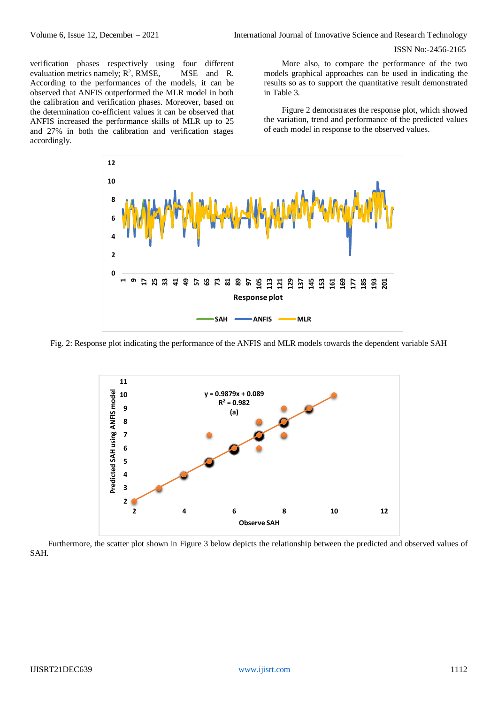verification phases respectively using four different evaluation metrics namely;  $R^2$ MSE and R. According to the performances of the models, it can be observed that ANFIS outperformed the MLR model in both the calibration and verification phases. Moreover, based on the determination co-efficient values it can be observed that ANFIS increased the performance skills of MLR up to 25 and 27% in both the calibration and verification stages accordingly.

More also, to compare the performance of the two models graphical approaches can be used in indicating the results so as to support the quantitative result demonstrated in Table 3.

Figure 2 demonstrates the response plot, which showed the variation, trend and performance of the predicted values of each model in response to the observed values.



Fig. 2: Response plot indicating the performance of the ANFIS and MLR models towards the dependent variable SAH



Furthermore, the scatter plot shown in Figure 3 below depicts the relationship between the predicted and observed values of SAH.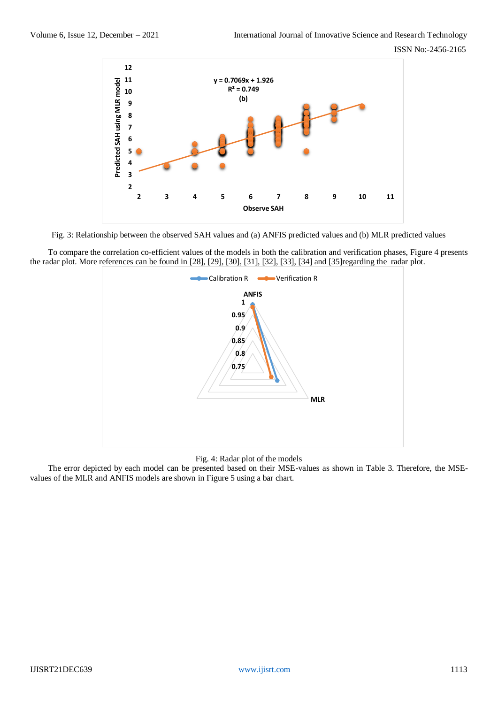

Fig. 3: Relationship between the observed SAH values and (a) ANFIS predicted values and (b) MLR predicted values

To compare the correlation co-efficient values of the models in both the calibration and verification phases, Figure 4 presents the radar plot. More references can be found in [28], [29], [30], [31], [32], [33], [34] and [35]regarding the radar plot.



#### Fig. 4: Radar plot of the models

The error depicted by each model can be presented based on their MSE-values as shown in Table 3. Therefore, the MSEvalues of the MLR and ANFIS models are shown in Figure 5 using a bar chart.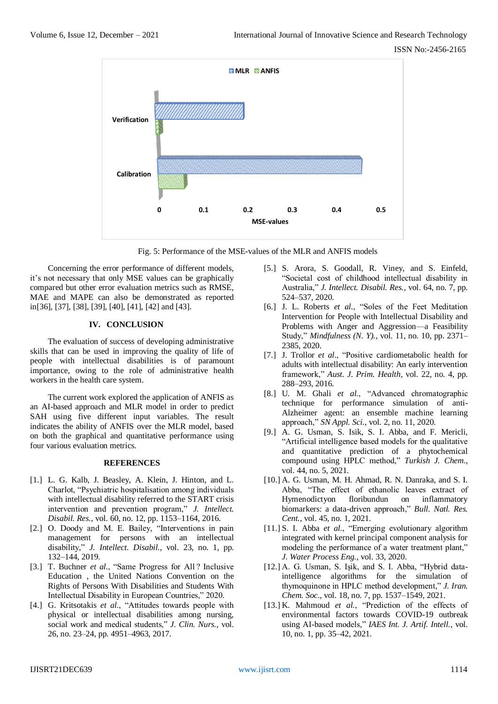

Fig. 5: Performance of the MSE-values of the MLR and ANFIS models

Concerning the error performance of different models, it's not necessary that only MSE values can be graphically compared but other error evaluation metrics such as RMSE, MAE and MAPE can also be demonstrated as reported in[36], [37], [38], [39], [40], [41], [42] and [43].

# **IV. CONCLUSION**

The evaluation of success of developing administrative skills that can be used in improving the quality of life of people with intellectual disabilities is of paramount importance, owing to the role of administrative health workers in the health care system.

The current work explored the application of ANFIS as an AI-based approach and MLR model in order to predict SAH using five different input variables. The result indicates the ability of ANFIS over the MLR model, based on both the graphical and quantitative performance using four various evaluation metrics.

### **REFERENCES**

- [1.] L. G. Kalb, J. Beasley, A. Klein, J. Hinton, and L. Charlot, "Psychiatric hospitalisation among individuals with intellectual disability referred to the START crisis intervention and prevention program," *J. Intellect. Disabil. Res.*, vol. 60, no. 12, pp. 1153–1164, 2016.
- [2.] O. Doody and M. E. Bailey, "Interventions in pain management for persons with an intellectual disability," *J. Intellect. Disabil.*, vol. 23, no. 1, pp. 132–144, 2019.
- [3.] T. Buchner *et al.*, "Same Progress for All ? Inclusive Education , the United Nations Convention on the Rights of Persons With Disabilities and Students With Intellectual Disability in European Countries," 2020.
- [4.] G. Kritsotakis *et al.*, "Attitudes towards people with physical or intellectual disabilities among nursing, social work and medical students," *J. Clin. Nurs.*, vol. 26, no. 23–24, pp. 4951–4963, 2017.
- [5.] S. Arora, S. Goodall, R. Viney, and S. Einfeld, "Societal cost of childhood intellectual disability in Australia," *J. Intellect. Disabil. Res.*, vol. 64, no. 7, pp. 524–537, 2020.
- [6.] J. L. Roberts *et al.*, "Soles of the Feet Meditation Intervention for People with Intellectual Disability and Problems with Anger and Aggression—a Feasibility Study," *Mindfulness (N. Y).*, vol. 11, no. 10, pp. 2371– 2385, 2020.
- [7.] J. Trollor *et al.*, "Positive cardiometabolic health for adults with intellectual disability: An early intervention framework," *Aust. J. Prim. Health*, vol. 22, no. 4, pp. 288–293, 2016.
- [8.] U. M. Ghali *et al.*, "Advanced chromatographic technique for performance simulation of anti-Alzheimer agent: an ensemble machine learning approach," *SN Appl. Sci.*, vol. 2, no. 11, 2020.
- [9.] A. G. Usman, S. Isik, S. I. Abba, and F. Mericli, "Artificial intelligence based models for the qualitative and quantitative prediction of a phytochemical compound using HPLC method," *Turkish J. Chem.*, vol. 44, no. 5, 2021.
- [10.] A. G. Usman, M. H. Ahmad, R. N. Danraka, and S. I. Abba, "The effect of ethanolic leaves extract of Hymenodictyon floribundun on inflammatory biomarkers: a data-driven approach," *Bull. Natl. Res. Cent.*, vol. 45, no. 1, 2021.
- [11.] S. I. Abba *et al.*, "Emerging evolutionary algorithm integrated with kernel principal component analysis for modeling the performance of a water treatment plant," *J. Water Process Eng.*, vol. 33, 2020.
- [12.] A. G. Usman, S. Isik, and S. I. Abba, "Hybrid dataintelligence algorithms for the simulation of thymoquinone in HPLC method development," *J. Iran. Chem. Soc.*, vol. 18, no. 7, pp. 1537–1549, 2021.
- [13.] K. Mahmoud *et al.*, "Prediction of the effects of environmental factors towards COVID-19 outbreak using AI-based models," *IAES Int. J. Artif. Intell.*, vol. 10, no. 1, pp. 35–42, 2021.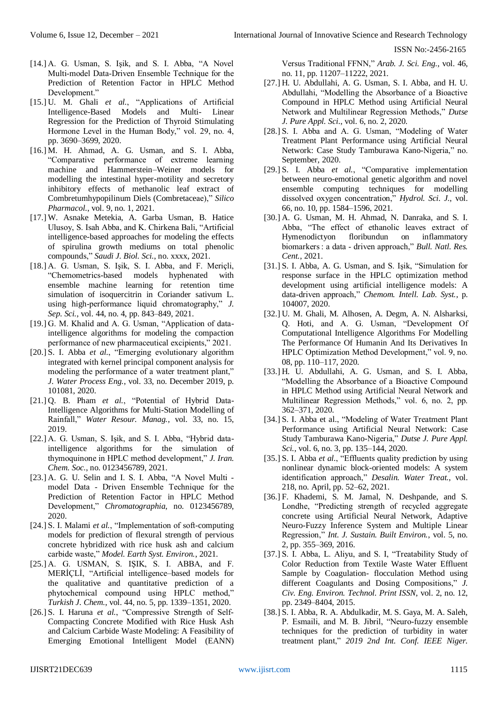- [14.] A. G. Usman, S. Işik, and S. I. Abba, "A Novel Multi-model Data-Driven Ensemble Technique for the Prediction of Retention Factor in HPLC Method Development."
- [15.] U. M. Ghali *et al.*, "Applications of Artificial Intelligence-Based Models and Multi- Linear Regression for the Prediction of Thyroid Stimulating Hormone Level in the Human Body," vol. 29, no. 4, pp. 3690–3699, 2020.
- [16.] M. H. Ahmad, A. G. Usman, and S. I. Abba, "Comparative performance of extreme learning machine and Hammerstein–Weiner models for modelling the intestinal hyper-motility and secretory inhibitory effects of methanolic leaf extract of Combretumhypopilinum Diels (Combretaceae)," *Silico Pharmacol.*, vol. 9, no. 1, 2021.
- [17.] W. Asnake Metekia, A. Garba Usman, B. Hatice Ulusoy, S. Isah Abba, and K. Chirkena Bali, "Artificial intelligence-based approaches for modeling the effects of spirulina growth mediums on total phenolic compounds," *Saudi J. Biol. Sci.*, no. xxxx, 2021.
- [18.] A. G. Usman, S. Işik, S. I. Abba, and F. Mericli, "Chemometrics-based models hyphenated with ensemble machine learning for retention time simulation of isoquercitrin in Coriander sativum L. using high-performance liquid chromatography," *J. Sep. Sci.*, vol. 44, no. 4, pp. 843–849, 2021.
- [19.] G. M. Khalid and A. G. Usman, "Application of dataintelligence algorithms for modeling the compaction performance of new pharmaceutical excipients," 2021.
- [20.] S. I. Abba *et al.*, "Emerging evolutionary algorithm integrated with kernel principal component analysis for modeling the performance of a water treatment plant," *J. Water Process Eng.*, vol. 33, no. December 2019, p. 101081, 2020.
- [21.] Q. B. Pham *et al.*, "Potential of Hybrid Data-Intelligence Algorithms for Multi-Station Modelling of Rainfall," *Water Resour. Manag.*, vol. 33, no. 15, 2019.
- [22.] A. G. Usman, S. Isik, and S. I. Abba, "Hybrid dataintelligence algorithms for the simulation of thymoquinone in HPLC method development," *J. Iran. Chem. Soc.*, no. 0123456789, 2021.
- [23.] A. G. U. Selin and I. S. I. Abba, "A Novel Multi model Data ‑ Driven Ensemble Technique for the Prediction of Retention Factor in HPLC Method Development," *Chromatographia*, no. 0123456789, 2020.
- [24.] S. I. Malami *et al.*, "Implementation of soft-computing models for prediction of flexural strength of pervious concrete hybridized with rice husk ash and calcium carbide waste," *Model. Earth Syst. Environ.*, 2021.
- [25.] A. G. USMAN, S. IŞIK, S. I. ABBA, and F. MERİÇLİ, "Artificial intelligence–based models for the qualitative and quantitative prediction of a phytochemical compound using HPLC method," *Turkish J. Chem.*, vol. 44, no. 5, pp. 1339–1351, 2020.
- [26.] S. I. Haruna *et al.*, "Compressive Strength of Self-Compacting Concrete Modified with Rice Husk Ash and Calcium Carbide Waste Modeling: A Feasibility of Emerging Emotional Intelligent Model (EANN)

Versus Traditional FFNN," *Arab. J. Sci. Eng.*, vol. 46, no. 11, pp. 11207–11222, 2021.

- [27.] H. U. Abdullahi, A. G. Usman, S. I. Abba, and H. U. Abdullahi, "Modelling the Absorbance of a Bioactive Compound in HPLC Method using Artificial Neural Network and Multilinear Regression Methods," *Dutse J. Pure Appl. Sci.*, vol. 6, no. 2, 2020.
- [28.] S. I. Abba and A. G. Usman, "Modeling of Water Treatment Plant Performance using Artificial Neural Network: Case Study Tamburawa Kano-Nigeria," no. September, 2020.
- [29.] S. I. Abba *et al.*, "Comparative implementation between neuro-emotional genetic algorithm and novel ensemble computing techniques for modelling dissolved oxygen concentration," *Hydrol. Sci. J.*, vol. 66, no. 10, pp. 1584–1596, 2021.
- [30.] A. G. Usman, M. H. Ahmad, N. Danraka, and S. I. Abba, "The effect of ethanolic leaves extract of Hymenodictyon floribundun on inflammatory biomarkers : a data ‑ driven approach," *Bull. Natl. Res. Cent.*, 2021.
- [31.] S. I. Abba, A. G. Usman, and S. Işik, "Simulation for response surface in the HPLC optimization method development using artificial intelligence models: A data-driven approach," *Chemom. Intell. Lab. Syst.*, p. 104007, 2020.
- [32.] U. M. Ghali, M. Alhosen, A. Degm, A. N. Alsharksi, Q. Hoti, and A. G. Usman, "Development Of Computational Intelligence Algorithms For Modelling The Performance Of Humanin And Its Derivatives In HPLC Optimization Method Development," vol. 9, no. 08, pp. 110–117, 2020.
- [33.] H. U. Abdullahi, A. G. Usman, and S. I. Abba, "Modelling the Absorbance of a Bioactive Compound in HPLC Method using Artificial Neural Network and Multilinear Regression Methods," vol. 6, no. 2, pp. 362–371, 2020.
- [34.] S. I. Abba et al., "Modeling of Water Treatment Plant Performance using Artificial Neural Network: Case Study Tamburawa Kano-Nigeria," *Dutse J. Pure Appl. Sci.*, vol. 6, no. 3, pp. 135–144, 2020.
- [35.] S. I. Abba *et al.*, "Effluents quality prediction by using nonlinear dynamic block-oriented models: A system identification approach," *Desalin. Water Treat.*, vol. 218, no. April, pp. 52–62, 2021.
- [36.] F. Khademi, S. M. Jamal, N. Deshpande, and S. Londhe, "Predicting strength of recycled aggregate concrete using Artificial Neural Network, Adaptive Neuro-Fuzzy Inference System and Multiple Linear Regression," *Int. J. Sustain. Built Environ.*, vol. 5, no. 2, pp. 355–369, 2016.
- [37.] S. I. Abba, L. Aliyu, and S. I, "Treatability Study of Color Reduction from Textile Waste Water Effluent Sample by Coagulation- flocculation Method using different Coagulants and Dosing Compositions," *J. Civ. Eng. Environ. Technol. Print ISSN*, vol. 2, no. 12, pp. 2349–8404, 2015.
- [38.] S. I. Abba, R. A. Abdulkadir, M. S. Gaya, M. A. Saleh, P. Esmaili, and M. B. Jibril, "Neuro-fuzzy ensemble techniques for the prediction of turbidity in water treatment plant," *2019 2nd Int. Conf. IEEE Niger.*